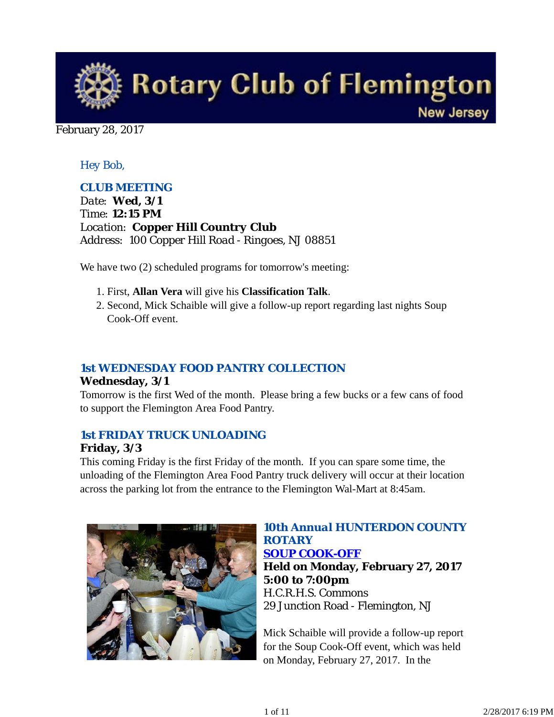

#### February 28, 2017

## *Hey Bob,*

## *CLUB MEETING*

*Date: Wed, 3/1 Time: 12:15 PM Location: Copper Hill Country Club Address: 100 Copper Hill Road - Ringoes, NJ 08851*

We have two  $(2)$  scheduled programs for tomorrow's meeting:

- 1. First, **Allan Vera** will give his **Classification Talk**.
- 2. Second, Mick Schaible will give a follow-up report regarding last nights Soup Cook-Off event.

## *1st WEDNESDAY FOOD PANTRY COLLECTION*

### **Wednesday, 3/1**

Tomorrow is the first Wed of the month. Please bring a few bucks or a few cans of food to support the Flemington Area Food Pantry.

### *1st FRIDAY TRUCK UNLOADING*

### **Friday, 3/3**

This coming Friday is the first Friday of the month. If you can spare some time, the unloading of the Flemington Area Food Pantry truck delivery will occur at their location across the parking lot from the entrance to the Flemington Wal-Mart at 8:45am.



# *10th Annual HUNTERDON COUNTY ROTARY*

*SOUP COOK-OFF* **Held on Monday, February 27, 2017 5:00 to 7:00pm** H.C.R.H.S. Commons 29 Junction Road - Flemington, NJ

Mick Schaible will provide a follow-up report for the Soup Cook-Off event, which was held on Monday, February 27, 2017. In the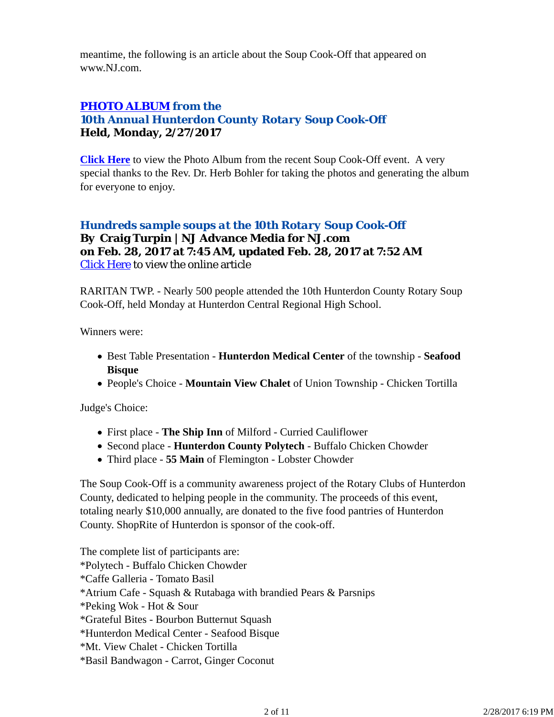meantime, the following is an article about the Soup Cook-Off that appeared on www.NJ.com.

# *PHOTO ALBUM from the 10th Annual Hunterdon County Rotary Soup Cook-Off* **Held, Monday, 2/27/2017**

**Click Here** to view the Photo Album from the recent Soup Cook-Off event. A very special thanks to the Rev. Dr. Herb Bohler for taking the photos and generating the album for everyone to enjoy.

### *Hundreds sample soups at the 10th Rotary Soup Cook-Off* **By Craig Turpin | NJ Advance Media for NJ.com on Feb. 28, 2017 at 7:45 AM, updated Feb. 28, 2017 at 7:52 AM** Click Here to view the online article

RARITAN TWP. - Nearly 500 people attended the 10th Hunterdon County Rotary Soup Cook-Off, held Monday at Hunterdon Central Regional High School.

Winners were:

- Best Table Presentation **Hunterdon Medical Center** of the township **Seafood Bisque**
- People's Choice **Mountain View Chalet** of Union Township Chicken Tortilla

Judge's Choice:

- First place **The Ship Inn** of Milford Curried Cauliflower
- Second place **Hunterdon County Polytech** Buffalo Chicken Chowder
- Third place **55 Main** of Flemington Lobster Chowder

The Soup Cook-Off is a community awareness project of the Rotary Clubs of Hunterdon County, dedicated to helping people in the community. The proceeds of this event, totaling nearly \$10,000 annually, are donated to the five food pantries of Hunterdon County. ShopRite of Hunterdon is sponsor of the cook-off.

The complete list of participants are: \*Polytech - Buffalo Chicken Chowder \*Caffe Galleria - Tomato Basil \*Atrium Cafe - Squash & Rutabaga with brandied Pears & Parsnips \*Peking Wok - Hot & Sour \*Grateful Bites - Bourbon Butternut Squash \*Hunterdon Medical Center - Seafood Bisque \*Mt. View Chalet - Chicken Tortilla \*Basil Bandwagon - Carrot, Ginger Coconut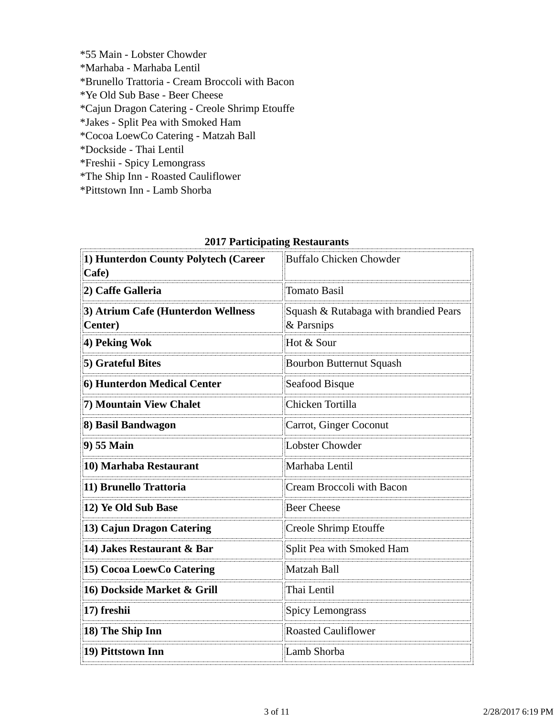\*55 Main - Lobster Chowder \*Marhaba - Marhaba Lentil \*Brunello Trattoria - Cream Broccoli with Bacon \*Ye Old Sub Base - Beer Cheese \*Cajun Dragon Catering - Creole Shrimp Etouffe \*Jakes - Split Pea with Smoked Ham \*Cocoa LoewCo Catering - Matzah Ball \*Dockside - Thai Lentil \*Freshii - Spicy Lemongrass \*The Ship Inn - Roasted Cauliflower

\*Pittstown Inn - Lamb Shorba

| 1) Hunterdon County Polytech (Career<br>Cafe)         | Buffalo Chicken Chowder                             |  |
|-------------------------------------------------------|-----------------------------------------------------|--|
| 2) Caffe Galleria                                     | <b>Tomato Basil</b>                                 |  |
| 3) Atrium Cafe (Hunterdon Wellness<br><b>Center</b> ) | Squash & Rutabaga with brandied Pears<br>& Parsnips |  |
| 4) Peking Wok                                         | Hot & Sour                                          |  |
| 5) Grateful Bites                                     | <b>Bourbon Butternut Squash</b>                     |  |
| 6) Hunterdon Medical Center                           | Seafood Bisque                                      |  |
| 7) Mountain View Chalet                               | Chicken Tortilla                                    |  |
| 8) Basil Bandwagon                                    | Carrot, Ginger Coconut                              |  |
| 9) 55 Main                                            | Lobster Chowder                                     |  |
| 10) Marhaba Restaurant                                | Marhaba Lentil                                      |  |
| 11) Brunello Trattoria                                | Cream Broccoli with Bacon                           |  |
| 12) Ye Old Sub Base                                   | <b>Beer Cheese</b>                                  |  |
| 13) Cajun Dragon Catering                             | Creole Shrimp Etouffe                               |  |
| 14) Jakes Restaurant & Bar                            | Split Pea with Smoked Ham                           |  |
| 15) Cocoa LoewCo Catering                             | Matzah Ball                                         |  |
| 16) Dockside Market & Grill                           | Thai Lentil                                         |  |
| 17) freshii                                           | <b>Spicy Lemongrass</b>                             |  |
| 18) The Ship Inn                                      | <b>Roasted Cauliflower</b>                          |  |
| 19) Pittstown Inn                                     | Lamb Shorba                                         |  |
|                                                       |                                                     |  |

#### **2017 Participating Restaurants**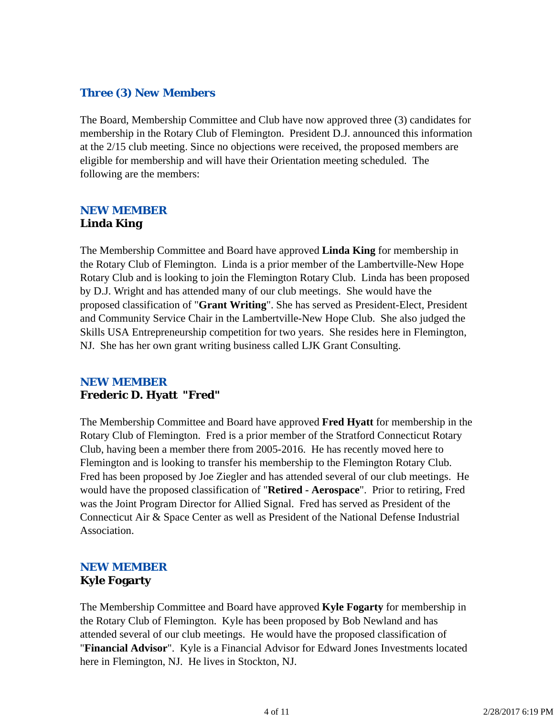### *Three (3) New Members*

The Board, Membership Committee and Club have now approved three (3) candidates for membership in the Rotary Club of Flemington. President D.J. announced this information at the 2/15 club meeting. Since no objections were received, the proposed members are eligible for membership and will have their Orientation meeting scheduled. The following are the members:

# *NEW MEMBER* **Linda King**

The Membership Committee and Board have approved **Linda King** for membership in the Rotary Club of Flemington. Linda is a prior member of the Lambertville-New Hope Rotary Club and is looking to join the Flemington Rotary Club. Linda has been proposed by D.J. Wright and has attended many of our club meetings. She would have the proposed classification of "**Grant Writing**". She has served as President-Elect, President and Community Service Chair in the Lambertville-New Hope Club. She also judged the Skills USA Entrepreneurship competition for two years. She resides here in Flemington, NJ. She has her own grant writing business called LJK Grant Consulting.

## *NEW MEMBER* **Frederic D. Hyatt "Fred"**

The Membership Committee and Board have approved **Fred Hyatt** for membership in the Rotary Club of Flemington. Fred is a prior member of the Stratford Connecticut Rotary Club, having been a member there from 2005-2016. He has recently moved here to Flemington and is looking to transfer his membership to the Flemington Rotary Club. Fred has been proposed by Joe Ziegler and has attended several of our club meetings. He would have the proposed classification of "**Retired - Aerospace**". Prior to retiring, Fred was the Joint Program Director for Allied Signal. Fred has served as President of the Connecticut Air & Space Center as well as President of the National Defense Industrial Association.

# *NEW MEMBER* **Kyle Fogarty**

The Membership Committee and Board have approved **Kyle Fogarty** for membership in the Rotary Club of Flemington. Kyle has been proposed by Bob Newland and has attended several of our club meetings. He would have the proposed classification of "**Financial Advisor**". Kyle is a Financial Advisor for Edward Jones Investments located here in Flemington, NJ. He lives in Stockton, NJ.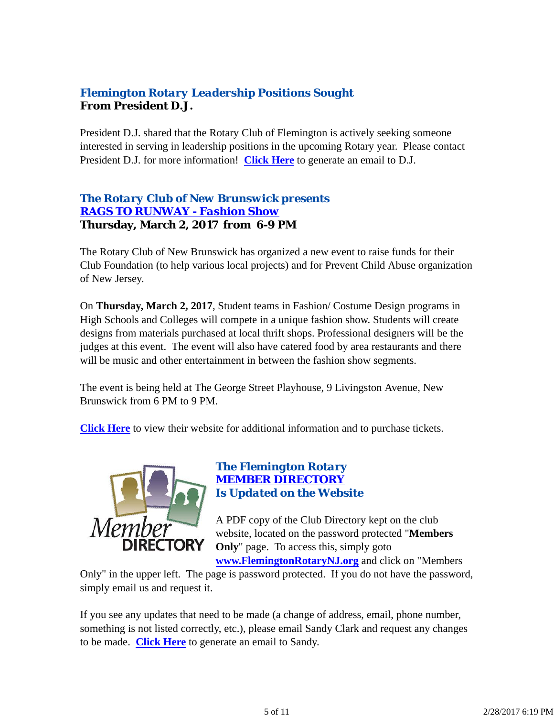# *Flemington Rotary Leadership Positions Sought* **From President D.J.**

President D.J. shared that the Rotary Club of Flemington is actively seeking someone interested in serving in leadership positions in the upcoming Rotary year. Please contact President D.J. for more information! **Click Here** to generate an email to D.J.

### *The Rotary Club of New Brunswick presents RAGS TO RUNWAY - Fashion Show* **Thursday, March 2, 2017 from 6-9 PM**

The Rotary Club of New Brunswick has organized a new event to raise funds for their Club Foundation (to help various local projects) and for Prevent Child Abuse organization of New Jersey.

On **Thursday, March 2, 2017**, Student teams in Fashion/ Costume Design programs in High Schools and Colleges will compete in a unique fashion show. Students will create designs from materials purchased at local thrift shops. Professional designers will be the judges at this event. The event will also have catered food by area restaurants and there will be music and other entertainment in between the fashion show segments.

The event is being held at The George Street Playhouse, 9 Livingston Avenue, New Brunswick from 6 PM to 9 PM.

**Click Here** to view their website for additional information and to purchase tickets.



### *The Flemington Rotary MEMBER DIRECTORY Is Updated on the Website*

A PDF copy of the Club Directory kept on the club website, located on the password protected "**Members Only**" page. To access this, simply goto

**www.FlemingtonRotaryNJ.org** and click on "Members

Only" in the upper left. The page is password protected. If you do not have the password, simply email us and request it.

If you see any updates that need to be made (a change of address, email, phone number, something is not listed correctly, etc.), please email Sandy Clark and request any changes to be made. **Click Here** to generate an email to Sandy.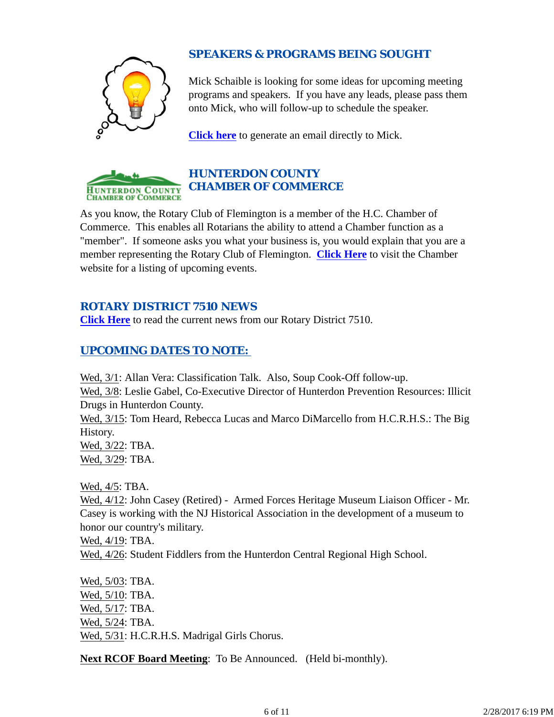

# *SPEAKERS & PROGRAMS BEING SOUGHT*

Mick Schaible is looking for some ideas for upcoming meeting programs and speakers. If you have any leads, please pass them onto Mick, who will follow-up to schedule the speaker.

**Click here** to generate an email directly to Mick.



# *HUNTERDON COUNTY CHAMBER OF COMMERCE*

As you know, the Rotary Club of Flemington is a member of the H.C. Chamber of Commerce. This enables all Rotarians the ability to attend a Chamber function as a "member". If someone asks you what your business is, you would explain that you are a member representing the Rotary Club of Flemington. **Click Here** to visit the Chamber website for a listing of upcoming events.

# *ROTARY DISTRICT 7510 NEWS*

**Click Here** to read the current news from our Rotary District 7510.

# *UPCOMING DATES TO NOTE:*

Wed, 3/1: Allan Vera: Classification Talk. Also, Soup Cook-Off follow-up. Wed, 3/8: Leslie Gabel, Co-Executive Director of Hunterdon Prevention Resources: Illicit Drugs in Hunterdon County.

Wed, 3/15: Tom Heard, Rebecca Lucas and Marco DiMarcello from H.C.R.H.S.: The Big History.

Wed, 3/22: TBA. Wed, 3/29: TBA.

Wed, 4/5: TBA.

Wed, 4/12: John Casey (Retired) - Armed Forces Heritage Museum Liaison Officer - Mr. Casey is working with the NJ Historical Association in the development of a museum to honor our country's military.

Wed, 4/19: TBA.

Wed,  $4/26$ : Student Fiddlers from the Hunterdon Central Regional High School.

Wed, 5/03: TBA. Wed, 5/10: TBA. Wed, 5/17: TBA. Wed, 5/24: TBA. Wed, 5/31: H.C.R.H.S. Madrigal Girls Chorus.

**Next RCOF Board Meeting**: To Be Announced. (Held bi-monthly).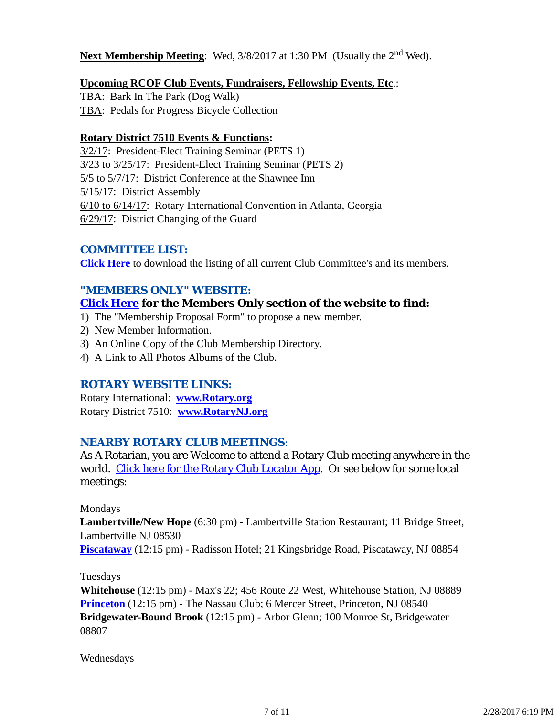### **Next Membership Meeting:** Wed,  $3/8/2017$  at 1:30 PM (Usually the 2<sup>nd</sup> Wed).

### **Upcoming RCOF Club Events, Fundraisers, Fellowship Events, Etc**.:

TBA: Bark In The Park (Dog Walk) TBA: Pedals for Progress Bicycle Collection

#### **Rotary District 7510 Events & Functions:**

3/2/17: President-Elect Training Seminar (PETS 1) 3/23 to 3/25/17: President-Elect Training Seminar (PETS 2) 5/5 to 5/7/17: District Conference at the Shawnee Inn 5/15/17: District Assembly 6/10 to 6/14/17: Rotary International Convention in Atlanta, Georgia 6/29/17: District Changing of the Guard

### *COMMITTEE LIST:*

**Click Here** to download the listing of all current Club Committee's and its members.

### *"MEMBERS ONLY" WEBSITE:*

## **Click Here for the Members Only section of the website to find:**

- 1) The "Membership Proposal Form" to propose a new member.
- 2) New Member Information.
- 3) An Online Copy of the Club Membership Directory.
- 4) A Link to All Photos Albums of the Club.

### *ROTARY WEBSITE LINKS:*

Rotary International: **www.Rotary.org** Rotary District 7510: **www.RotaryNJ.org**

### *NEARBY ROTARY CLUB MEETINGS:*

As A Rotarian, you are Welcome to attend a Rotary Club meeting anywhere in the world. Click here for the Rotary Club Locator App. Or see below for some local meetings:

### Mondays

**Lambertville/New Hope** (6:30 pm) - Lambertville Station Restaurant; 11 Bridge Street, Lambertville NJ 08530

**Piscataway** (12:15 pm) - Radisson Hotel; 21 Kingsbridge Road, Piscataway, NJ 08854

### Tuesdays

**Whitehouse** (12:15 pm) - Max's 22; 456 Route 22 West, Whitehouse Station, NJ 08889 **Princeton** (12:15 pm) - The Nassau Club; 6 Mercer Street, Princeton, NJ 08540 **Bridgewater-Bound Brook** (12:15 pm) - Arbor Glenn; 100 Monroe St, Bridgewater 08807

### Wednesdays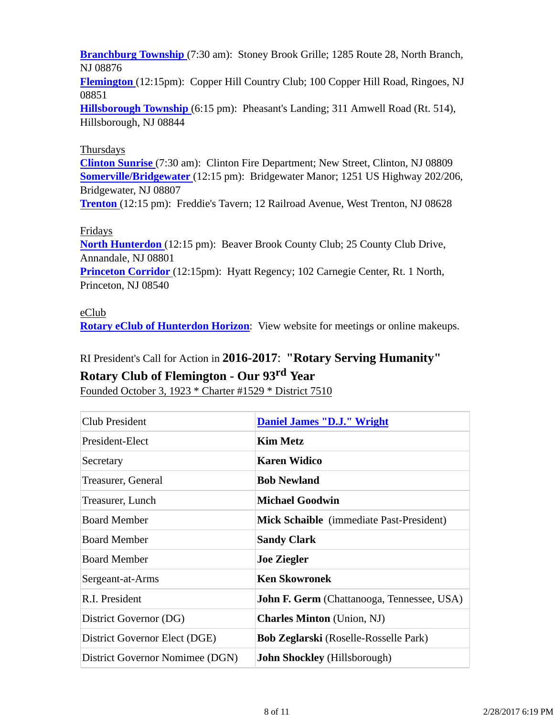**Branchburg Township** (7:30 am): Stoney Brook Grille; 1285 Route 28, North Branch, NJ 08876

**Flemington** (12:15pm): Copper Hill Country Club; 100 Copper Hill Road, Ringoes, NJ 08851

**Hillsborough Township** (6:15 pm): Pheasant's Landing; 311 Amwell Road (Rt. 514), Hillsborough, NJ 08844

### **Thursdays**

**Clinton Sunrise** (7:30 am): Clinton Fire Department; New Street, Clinton, NJ 08809 **Somerville/Bridgewater** (12:15 pm): Bridgewater Manor; 1251 US Highway 202/206, Bridgewater, NJ 08807

**Trenton** (12:15 pm): Freddie's Tavern; 12 Railroad Avenue, West Trenton, NJ 08628

### Fridays

**North Hunterdon** (12:15 pm): Beaver Brook County Club; 25 County Club Drive, Annandale, NJ 08801 **Princeton Corridor** (12:15pm): Hyatt Regency; 102 Carnegie Center, Rt. 1 North, Princeton, NJ 08540

### eClub

**Rotary eClub of Hunterdon Horizon**: View website for meetings or online makeups.

# RI President's Call for Action in **2016-2017**: **"Rotary Serving Humanity"**

# **Rotary Club of Flemington - Our 93rd Year**

Founded October 3, 1923 \* Charter #1529 \* District 7510

| <b>Club President</b>           | <b>Daniel James "D.J." Wright</b>                 |
|---------------------------------|---------------------------------------------------|
| President-Elect                 | <b>Kim Metz</b>                                   |
| Secretary                       | <b>Karen Widico</b>                               |
| Treasurer, General              | <b>Bob Newland</b>                                |
| Treasurer, Lunch                | <b>Michael Goodwin</b>                            |
| <b>Board Member</b>             | <b>Mick Schaible</b> (immediate Past-President)   |
| <b>Board Member</b>             | <b>Sandy Clark</b>                                |
| <b>Board Member</b>             | <b>Joe Ziegler</b>                                |
| Sergeant-at-Arms                | <b>Ken Skowronek</b>                              |
| R.I. President                  | <b>John F. Germ</b> (Chattanooga, Tennessee, USA) |
| District Governor (DG)          | <b>Charles Minton</b> (Union, NJ)                 |
| District Governor Elect (DGE)   | <b>Bob Zeglarski</b> (Roselle-Rosselle Park)      |
| District Governor Nomimee (DGN) | <b>John Shockley</b> (Hillsborough)               |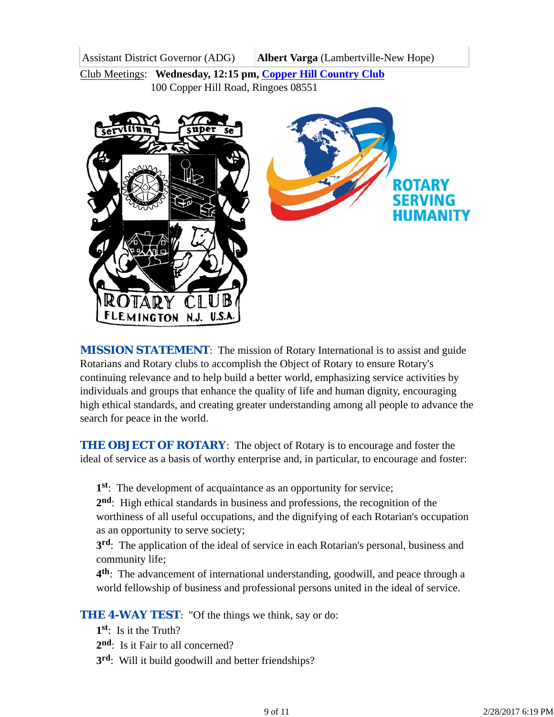Assistant District Governor (ADG) **Albert Varga** (Lambertville-New Hope)

Club Meetings: **Wednesday, 12:15 pm, Copper Hill Country Club** 100 Copper Hill Road, Ringoes 08551



*MISSION STATEMENT*: The mission of Rotary International is to assist and guide Rotarians and Rotary clubs to accomplish the Object of Rotary to ensure Rotary's continuing relevance and to help build a better world, emphasizing service activities by individuals and groups that enhance the quality of life and human dignity, encouraging high ethical standards, and creating greater understanding among all people to advance the search for peace in the world.

**THE OBJECT OF ROTARY:** The object of Rotary is to encourage and foster the ideal of service as a basis of worthy enterprise and, in particular, to encourage and foster:

**1st**: The development of acquaintance as an opportunity for service;

**2nd**: High ethical standards in business and professions, the recognition of the worthiness of all useful occupations, and the dignifying of each Rotarian's occupation as an opportunity to serve society;

**3rd**: The application of the ideal of service in each Rotarian's personal, business and community life;

**4th**: The advancement of international understanding, goodwill, and peace through a world fellowship of business and professional persons united in the ideal of service.

**THE 4-WAY TEST:** "Of the things we think, say or do:

- **1st**: Is it the Truth?
- 2<sup>nd</sup>: Is it Fair to all concerned?
- **3rd**: Will it build goodwill and better friendships?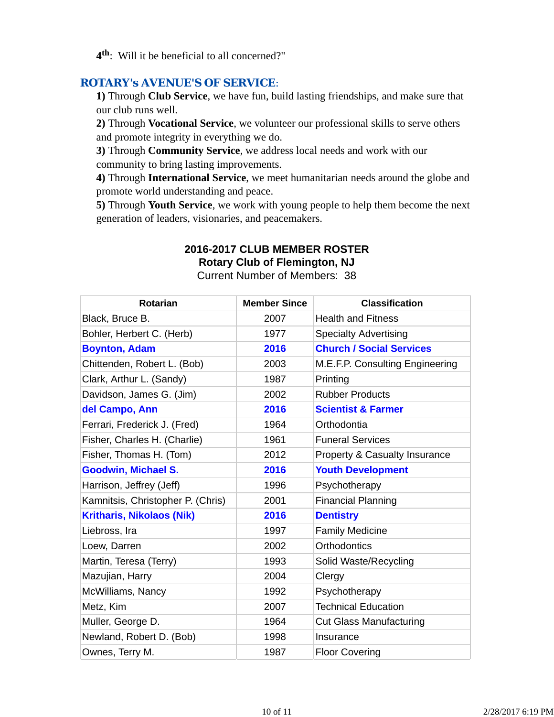**4th**: Will it be beneficial to all concerned?"

### *ROTARY's AVENUE'S OF SERVICE*:

**1)** Through **Club Service**, we have fun, build lasting friendships, and make sure that our club runs well.

**2)** Through **Vocational Service**, we volunteer our professional skills to serve others and promote integrity in everything we do.

**3)** Through **Community Service**, we address local needs and work with our community to bring lasting improvements.

**4)** Through **International Service**, we meet humanitarian needs around the globe and promote world understanding and peace.

**5)** Through **Youth Service**, we work with young people to help them become the next generation of leaders, visionaries, and peacemakers.

# **2016-2017 CLUB MEMBER ROSTER**

**Rotary Club of Flemington, NJ**

Current Number of Members: 38

| <b>Rotarian</b>                   | <b>Member Since</b> | <b>Classification</b>           |
|-----------------------------------|---------------------|---------------------------------|
| Black, Bruce B.                   | 2007                | <b>Health and Fitness</b>       |
| Bohler, Herbert C. (Herb)         | 1977                | <b>Specialty Advertising</b>    |
| <b>Boynton, Adam</b>              | 2016                | <b>Church / Social Services</b> |
| Chittenden, Robert L. (Bob)       | 2003                | M.E.F.P. Consulting Engineering |
| Clark, Arthur L. (Sandy)          | 1987                | Printing                        |
| Davidson, James G. (Jim)          | 2002                | <b>Rubber Products</b>          |
| del Campo, Ann                    | 2016                | <b>Scientist &amp; Farmer</b>   |
| Ferrari, Frederick J. (Fred)      | 1964                | Orthodontia                     |
| Fisher, Charles H. (Charlie)      | 1961                | <b>Funeral Services</b>         |
| Fisher, Thomas H. (Tom)           | 2012                | Property & Casualty Insurance   |
| <b>Goodwin, Michael S.</b>        | 2016                | <b>Youth Development</b>        |
| Harrison, Jeffrey (Jeff)          | 1996                | Psychotherapy                   |
| Kamnitsis, Christopher P. (Chris) | 2001                | <b>Financial Planning</b>       |
| <b>Kritharis, Nikolaos (Nik)</b>  | 2016                | <b>Dentistry</b>                |
| Liebross, Ira                     | 1997                | <b>Family Medicine</b>          |
| Loew, Darren                      | 2002                | <b>Orthodontics</b>             |
| Martin, Teresa (Terry)            | 1993                | Solid Waste/Recycling           |
| Mazujian, Harry                   | 2004                | Clergy                          |
| McWilliams, Nancy                 | 1992                | Psychotherapy                   |
| Metz, Kim                         | 2007                | <b>Technical Education</b>      |
| Muller, George D.                 | 1964                | <b>Cut Glass Manufacturing</b>  |
| Newland, Robert D. (Bob)          | 1998                | Insurance                       |
| Ownes, Terry M.                   | 1987                | <b>Floor Covering</b>           |